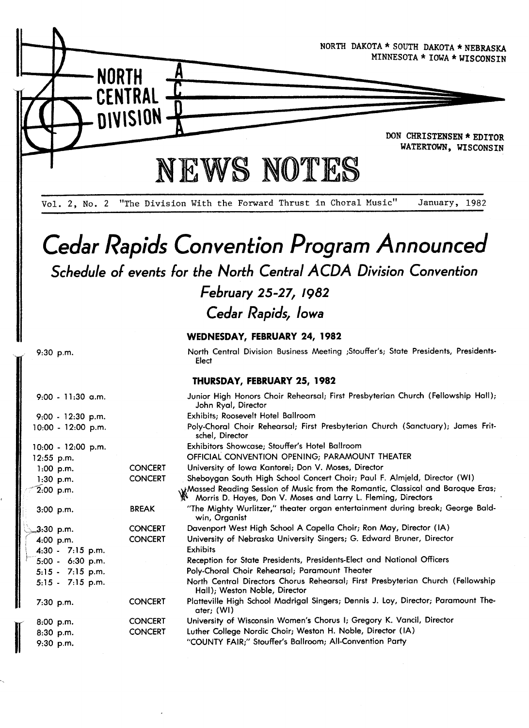

Vol. 2, No. 2 "The Division With the Forward Thrust in Choral Music" January, 1982

# Cedar Rapids Convention Program Announced Schedule of events for the North Central ACDA Division Convention

# February 25-27, 1982

Cedar Rapids, Iowa

### WEDNESDAY, FEBRUARY 24, 1982

North Central Division Business Meeting ;Stouffer`s; State Presidents, Presidents-Elect

#### THURSDAY, FEBRUARY 25,1982

| $9:00 - 11:30$ a.m.  |                | Junior High Honors Choir Rehearsal; First Presbyterian Church (Fellowship Hall);<br>John Ryal, Director                                         |
|----------------------|----------------|-------------------------------------------------------------------------------------------------------------------------------------------------|
| $9:00 - 12:30$ p.m.  |                | Exhibits; Roosevelt Hotel Ballroom                                                                                                              |
| $10:00 - 12:00$ p.m. |                | Poly-Choral Choir Rehearsal; First Presbyterian Church (Sanctuary); James Frit-<br>schel, Director                                              |
| $0.00 - 12.00$ p.m.  |                | Exhibitors Showcase; Stouffer's Hotel Ballroom                                                                                                  |
| 2:55 p.m.            |                | OFFICIAL CONVENTION OPENING; PARAMOUNT THEATER                                                                                                  |
| $1:00$ p.m.          | <b>CONCERT</b> | University of Iowa Kantorei; Don V. Moses, Director                                                                                             |
| $1:30$ p.m.          | <b>CONCERT</b> | Sheboygan South High School Concert Choir; Paul F. Almjeld, Director (WI)                                                                       |
| $2:00$ p.m.          |                | Wassed Reading Session of Music from the Romantic, Classical and Baroque Eras;<br>Morris D. Hayes, Don V. Moses and Larry L. Fleming, Directors |
| $3:00$ p.m.          | <b>BREAK</b>   | "The Mighty Wurlitzer," theater organ entertainment during break; George Bald-<br>win, Organist                                                 |
| .3:30 p.m.           | <b>CONCERT</b> | Davenport West High School A Capella Choir; Ron May, Director (IA)                                                                              |
| $4:00$ p.m.          | <b>CONCERT</b> | University of Nebraska University Singers; G. Edward Bruner, Director                                                                           |
| $4:30 - 7:15$ p.m.   |                | Exhibits                                                                                                                                        |
| 5:00 - 6:30 p.m.     |                | Reception for State Presidents, Presidents-Elect and National Officers                                                                          |
| $5:15 - 7:15$ p.m.   |                | Poly-Choral Choir Rehearsal; Paramount Theater                                                                                                  |
| $5:15 - 7:15$ p.m.   |                | North Central Directors Chorus Rehearsal; First Presbyterian Church (Fellowship<br>Hall); Weston Noble, Director                                |
| $7:30$ p.m.          | <b>CONCERT</b> | Platteville High School Madrigal Singers; Dennis J. Loy, Director; Paramount The-<br>ater; (WI)                                                 |
| $8:00$ p.m.          | <b>CONCERT</b> | University of Wisconsin Women's Chorus I; Gregory K. Vancil, Director                                                                           |
| 8:30 p.m.            | <b>CONCERT</b> | Luther College Nordic Choir; Weston H. Noble, Director (IA)                                                                                     |
| 9:30 p.m.            |                | "COUNTY FAIR;" Stouffer's Ballroom; All-Convention Party                                                                                        |
|                      |                |                                                                                                                                                 |

9:30 p.m.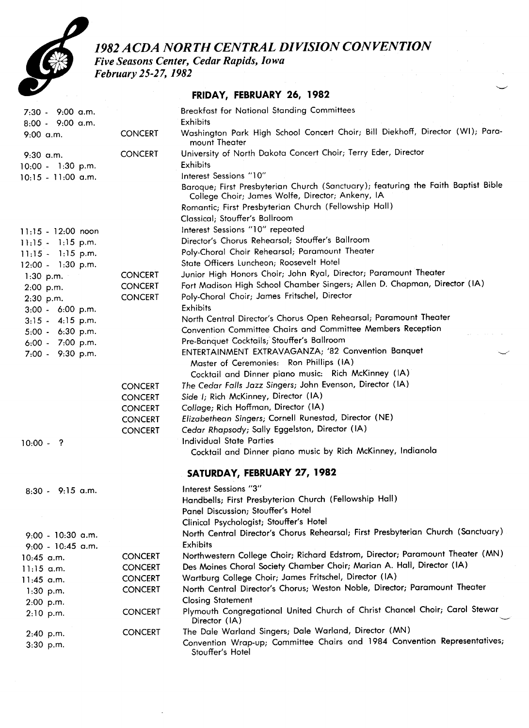

1982 ACDA NORTH CENTRAL DIVISION CONVENTION

Five Seasons Center, Cedar Rapids, Iowa

February 25-27, 1982

### FRIDAY, FEBRUARY 26, 1982

-<br>J

| $7:30 - 9:00$ a.m.   |                | <b>Breakfast for National Standing Committees</b><br>Exhibits                                                                         |
|----------------------|----------------|---------------------------------------------------------------------------------------------------------------------------------------|
| 8:00 - 9:00 a.m.     |                | Washington Park High School Concert Choir; Bill Diekhoff, Director (WI); Para-                                                        |
| $9:00$ a.m.          | <b>CONCERT</b> | mount Theater                                                                                                                         |
| $9:30$ a.m.          | <b>CONCERT</b> | University of North Dakota Concert Choir; Terry Eder, Director                                                                        |
| $10:00 - 1:30$ p.m.  |                | Exhibits                                                                                                                              |
| $10:15 - 11:00$ a.m. |                | Interest Sessions "10"                                                                                                                |
|                      |                | Baroque; First Presbyterian Church (Sanctuary); featuring the Faith Baptist Bible<br>College Choir; James Wolfe, Director; Ankeny, IA |
|                      |                | Romantic; First Presbyterian Church (Fellowship Hall)                                                                                 |
|                      |                | Classical; Stouffer's Ballroom                                                                                                        |
| $11:15 - 12:00$ noon |                | Interest Sessions "10" repeated                                                                                                       |
| $11:15 - 1:15$ p.m.  |                | Director's Chorus Rehearsal; Stouffer's Ballroom                                                                                      |
| $11:15 - 1:15$ p.m.  |                | Poly-Choral Choir Rehearsal; Paramount Theater                                                                                        |
| $12:00 - 1:30$ p.m.  |                | State Officers Luncheon; Roosevelt Hotel                                                                                              |
| $1:30$ p.m.          | <b>CONCERT</b> | Junior High Honors Choir; John Ryal, Director; Paramount Theater                                                                      |
| 2:00 p.m.            | <b>CONCERT</b> | Fort Madison High School Chamber Singers; Allen D. Chapman, Director (IA)                                                             |
| 2:30 p.m.            | <b>CONCERT</b> | Poly-Choral Choir; James Fritschel, Director                                                                                          |
| $3:00 - 6:00$ p.m.   |                | Exhibits                                                                                                                              |
| $3:15 - 4:15$ p.m.   |                | North Central Director's Chorus Open Rehearsal; Paramount Theater                                                                     |
| 5:00 - 6:30 p.m.     |                | Convention Committee Chairs and Committee Members Reception                                                                           |
| 6:00 - 7:00 p.m.     |                | Pre-Banquet Cocktails; Stouffer's Ballroom                                                                                            |
| 7:00 - 9:30 p.m.     |                | ENTERTAINMENT EXTRAVAGANZA; '82 Convention Banquet<br>Master of Ceremonies: Ron Phillips (IA)                                         |
|                      |                | Cocktail and Dinner piano music: Rich McKinney (IA)                                                                                   |
|                      | <b>CONCERT</b> | The Cedar Falls Jazz Singers; John Evenson, Director (IA)                                                                             |
|                      | <b>CONCERT</b> | Side I; Rich McKinney, Director (IA)                                                                                                  |
|                      | <b>CONCERT</b> | Collage; Rich Hoffman, Director (IA)                                                                                                  |
|                      | <b>CONCERT</b> | Elizabethean Singers; Cornell Runestad, Director (NE)                                                                                 |
|                      | <b>CONCERT</b> | Cedar Rhapsody; Sally Eggelston, Director (IA)                                                                                        |
| $10:00 - ?$          |                | <b>Individual State Parties</b>                                                                                                       |
|                      |                | Cocktail and Dinner piano music by Rich McKinney, Indianola                                                                           |
|                      |                | SATURDAY, FEBRUARY 27, 1982                                                                                                           |
| $8:30 - 9:15$ a.m.   |                | Interest Sessions "3"                                                                                                                 |
|                      |                | Handbells; First Presbyterian Church (Fellowship Hall)                                                                                |
|                      |                | Panel Discussion; Stouffer's Hotel                                                                                                    |
|                      |                | Clinical Psychologist; Stouffer's Hotel                                                                                               |
| $9:00 - 10:30$ a.m.  |                | North Central Director's Chorus Rehearsal; First Presbyterian Church (Sanctuary)                                                      |
| 9:00 - 10:45 a.m.    |                | Exhibits                                                                                                                              |
| 10:45 a.m.           | <b>CONCERT</b> | Northwestern College Choir; Richard Edstrom, Director; Paramount Theater (MN)                                                         |
| $11:15$ a.m.         | <b>CONCERT</b> | Des Moines Choral Society Chamber Choir; Marian A. Hall, Director (IA)                                                                |
| 11:45 a.m.           | <b>CONCERT</b> | Wartburg College Choir; James Fritschel, Director (IA)                                                                                |
| $1:30$ p.m.          | <b>CONCERT</b> | North Central Director's Chorus; Weston Noble, Director; Paramount Theater                                                            |
| 2:00 p.m.            |                | <b>Closing Statement</b>                                                                                                              |
| $2:10$ p.m.          | <b>CONCERT</b> | Plymouth Congregational United Church of Christ Chancel Choir; Carol Stewar<br>Director (IA)                                          |
| 2:40 p.m.            | <b>CONCERT</b> | The Dale Warland Singers; Dale Warland, Director (MN)                                                                                 |
| 3:30 p.m.            |                | Convention Wrap-up; Committee Chairs and 1984 Convention Representatives;<br>Stouffer's Hotel                                         |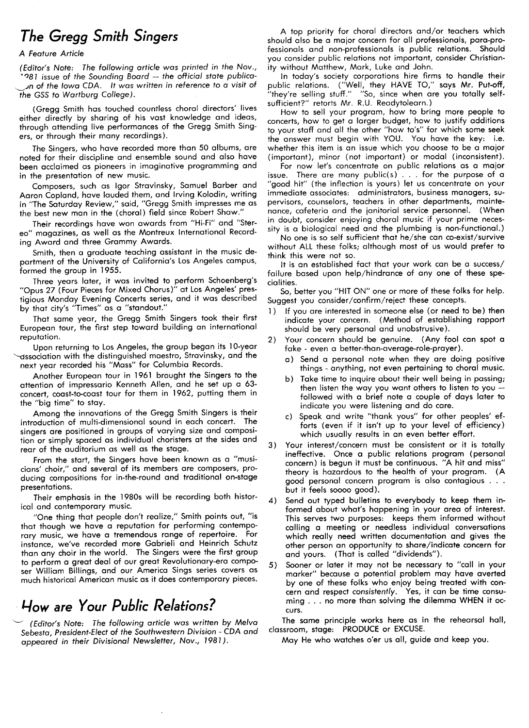## The Gregg Smith Singers

#### A Feature Article

(Editor's Note: The following article was printed in the Nov.,  $281$  issue of the Sounding Board - the official state publicaun of the Iowa CDA. It was written .In reference to a visit of the GSS to Wartburg College).

(Gregg Smith has touched countless choral directors' lives either directly by sharing of his vast knowledge and ideas, through attending live performances of the Gregg Smith Singers, or through their many recordings).

The Singers, who have recorded more than 50 albums, are noted for their discipline and ensemble sound and also have been acclaimed as pioneers in imaginative programming and in the presentation of new music.

Composers, such as lgor Stravinsky, Samuel Barber and Aaron Copland, have lauded them, and lrving Kolodin, writing in "The Saturday Review," said, ''Gregg Smith impresses me as the best new man in the (choral) field since Robert Shaw."

Their recordings have won awards from "Hi-Fi" and "Stereo" magazines, as well as the Montreux International Recording Award and three Grammy Awards.

Smith, then a graduate teaching assistant in the music department of the University of California's Los Angeles campus, formed the group in 1955.

Three years later, it was invited to perform Schoenberg's "Opus 27 (Four Pieces for Mixed Chorus)" at Los Angeles' prestigious Monday Evening Concerts series, and it was described by that city's "Times" as a "standout."

That same year, the Gregg Smith Singers took their first European tour, the first step toward building an international reputation.

Upon returning to Los Angeles, the group began its lo-year  $\sim$ association with the distinguished maestro, Stravinsky, and the next year recorded his "Mass" for Columbia Records.

Another European tour in 1961 brought the Singers to the attention of impressario Kenneth Allen, and he set up a 63 concert, coast-to-coast tour for them in 1962, putting them in the "big time" to stay.

Among the innovations of the Gregg Smith Singers is their introduction of multi-dimensional sound in each concert. The singers are positioned in groups of varying size and composition or simply spaced as individual choristers at the sides and rear of the auditorium as well as the stage.

From the start, the Singers have been known as a "musicians' choir," and several of its members are composers, producing compositions for in-the-round and traditional on-stage presentations.

Their emphasis in the l980s will be recording both historical and contemporary music.

"One thing that people don't realize," Smith points out, ''is that though we have a reputation for performing contemporary music, we have a tremendous range of repertoire. For instance, we've recorded more Gabrieli and Heinrich Schutz than any choir in the world. The Singers were the first group to perform a great deal of our great Revolutionary-era composer William Billings, and our America Sings series covers as much historical American music as it does contemporary pieces.

### How are Your Public Relations?

(Editor's Note: The following article was written by Melva Sebesta, President-Elect of the Southwestern Division - CDA and appeared in their Divisional Newsletter, Nov., 1981).

A top priority for choral directors and/or teachers which should also be a maior concern for all professionals, para-professionals and non-professionals is public relations. Should you consider public relations not important, consider Christianity without Matthew, Mark, Luke and John.

In today's society corporations hire firms to handle their<br>public relations. ("Well, they HAVE TO," says Mr. Put-off, public relations. ("Well, they're when are you totally selfsufficient?" retorts Mr. R.U. Readytolearn.)

How to sell your program, how to bring more people to concerts, how to get a larger budget, how to iustify additions to your staff and all the other "how to's" for which some seek the answer must begin with YOU. You have the key: i.e. whether this item is an issue which you choose to be a major (important), minor (not important) or modal (inconsistent).

For now let's concentrate on public relations as a maior issue. There are many public(s) . . . for the purpose of a "good hit" (the inflection is yours) let us concentrate on your immediate associates: administrators, business managers, supervisors, counselors, teachers in other departments, maintenance, cafeteria and the ianitorial service personnel. (When in doubt, consider enioying choral music if your prime necessity is a biological need and the plumbing is non-functional.)

No one is so self sufficient that he/she can co-exist/survive without ALL these folks; although most of us would prefer to think this were not so.

It is an established fact that your work can be a success/ failure based upon help/hindrance of any one of these specialities.

So, better you ''HIT ON" one or more of these folks for help. Suggest you consider/confirm/reiect these concepts.

- 1) If you are interested in someone else (or need to be) then indicate your concern. (Method of establishing rapport should be very personal and unobstrusive).
- 2) Your concern should be genuine. (Any fool can spot a fake - even a better-than-average-role-prayer).
	- a) Send a personal note when they are doing positive things - anything, not even pertaining to choral music.
	- b) Take time to inquire about their well being in passing; then listen the way you want others to listen to you followed with a brief note a couple of days later to indicate you were listening and do care.
	- c) Speak and write ''thank yous" for other peoples' efforts (even if it isn't up to your level of efficiency) which usually results in an even better effort.
- 3) Your interest/concern must be consistent or it is totally ineffective. Once a public relations program (personal concern) is begun it must be continuous. "A hit and miss" theory is hazardous to the health of your program. (A good personal concern program is also contagious . . . but it feels soooo good).
- 4) Send out typed bulletins to everybody to keep them informed about what's happening in your area of interest. This serves two purposes: keeps them informed without calling a meeting or needless individual conversations which really need written documentation and gives the other person an opportunity to share/indicate concern for and yours. (That is called "dividends").
- 5) Sooner or later it may not be necessary to ''call in your marker" because a potential problem may have averted by one of these folks who enioy being treated with concern and respect consistently. Yes, it can be time consuming . . . no more than solving the dilemma WHEN it occurs.

The same principle works here as in the rehearsal hall, classroom, stage: PRODUCE or EXCUSE.

May He who watches o'er us all, guide and keep you.